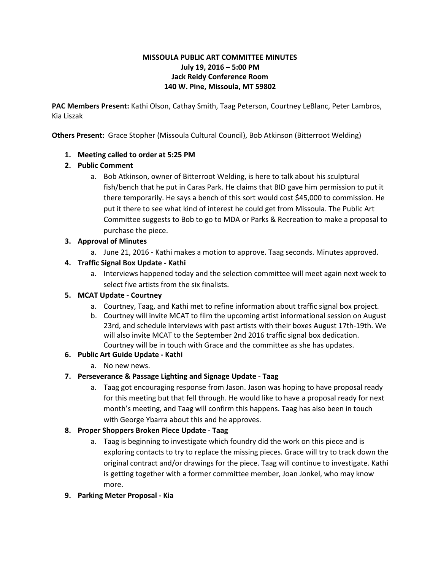### **MISSOULA PUBLIC ART COMMITTEE MINUTES July 19, 2016 – 5:00 PM Jack Reidy Conference Room 140 W. Pine, Missoula, MT 59802**

**PAC Members Present:** Kathi Olson, Cathay Smith, Taag Peterson, Courtney LeBlanc, Peter Lambros, Kia Liszak

**Others Present:**  Grace Stopher (Missoula Cultural Council), Bob Atkinson (Bitterroot Welding)

## **1. Meeting called to order at 5:25 PM**

## **2. Public Comment**

a. Bob Atkinson, owner of Bitterroot Welding, is here to talk about his sculptural fish/bench that he put in Caras Park. He claims that BID gave him permission to put it there temporarily. He says a bench of this sort would cost \$45,000 to commission. He put it there to see what kind of interest he could get from Missoula. The Public Art Committee suggests to Bob to go to MDA or Parks & Recreation to make a proposal to purchase the piece.

### **3. Approval of Minutes**

a. June 21, 2016 - Kathi makes a motion to approve. Taag seconds. Minutes approved.

## **4. Traffic Signal Box Update Kathi**

a. Interviews happened today and the selection committee will meet again next week to select five artists from the six finalists.

### **5. MCAT Update Courtney**

- a. Courtney, Taag, and Kathi met to refine information about traffic signal box project.
- b. Courtney will invite MCAT to film the upcoming artist informational session on August 23rd, and schedule interviews with past artists with their boxes August 17th-19th. We will also invite MCAT to the September 2nd 2016 traffic signal box dedication. Courtney will be in touch with Grace and the committee as she has updates.

# **6. Public Art Guide Update Kathi**

a. No new news.

### **7. Perseverance & Passage Lighting and Signage Update Taag**

a. Taag got encouraging response from Jason. Jason was hoping to have proposal ready for this meeting but that fell through. He would like to have a proposal ready for next month's meeting, and Taag will confirm this happens. Taag has also been in touch with George Ybarra about this and he approves.

### **8. Proper Shoppers Broken Piece Update Taag**

a. Taag is beginning to investigate which foundry did the work on this piece and is exploring contacts to try to replace the missing pieces. Grace will try to track down the original contract and/or drawings for the piece. Taag will continue to investigate. Kathi is getting together with a former committee member, Joan Jonkel, who may know more.

### **9. Parking Meter Proposal Kia**